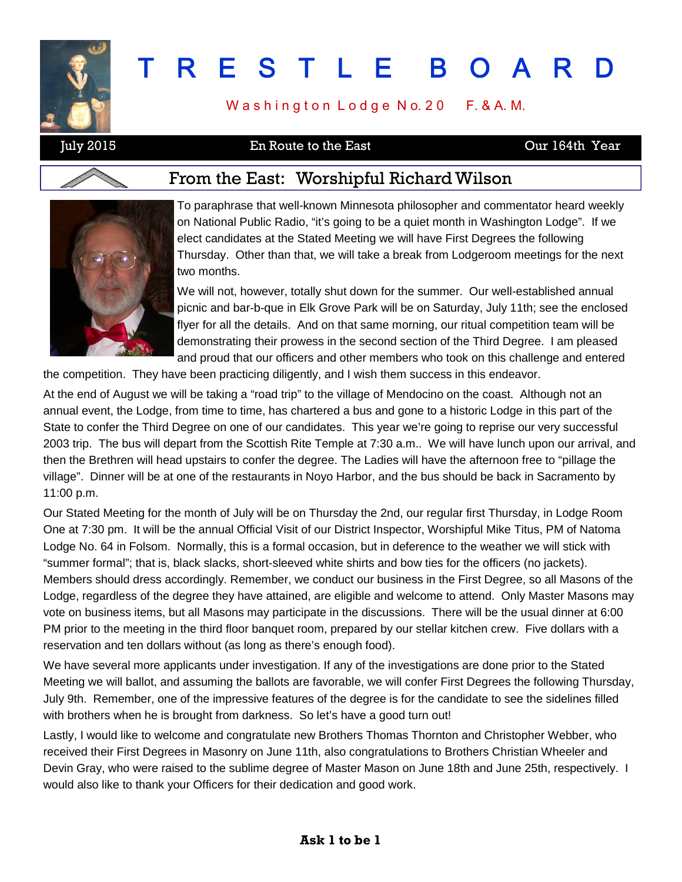

# T R E S T L E B O A R D

Washington Lodge No. 20 F. & A. M.

July 2015 En Route to the East Our 164th Year

#### From the East: Worshipful Richard Wilson



To paraphrase that well-known Minnesota philosopher and commentator heard weekly on National Public Radio, "it's going to be a quiet month in Washington Lodge". If we elect candidates at the Stated Meeting we will have First Degrees the following Thursday. Other than that, we will take a break from Lodgeroom meetings for the next two months.

We will not, however, totally shut down for the summer. Our well-established annual picnic and bar-b-que in Elk Grove Park will be on Saturday, July 11th; see the enclosed flyer for all the details. And on that same morning, our ritual competition team will be demonstrating their prowess in the second section of the Third Degree. I am pleased and proud that our officers and other members who took on this challenge and entered

the competition. They have been practicing diligently, and I wish them success in this endeavor.

At the end of August we will be taking a "road trip" to the village of Mendocino on the coast. Although not an annual event, the Lodge, from time to time, has chartered a bus and gone to a historic Lodge in this part of the State to confer the Third Degree on one of our candidates. This year we're going to reprise our very successful 2003 trip. The bus will depart from the Scottish Rite Temple at 7:30 a.m.. We will have lunch upon our arrival, and then the Brethren will head upstairs to confer the degree. The Ladies will have the afternoon free to "pillage the village". Dinner will be at one of the restaurants in Noyo Harbor, and the bus should be back in Sacramento by 11:00 p.m.

Our Stated Meeting for the month of July will be on Thursday the 2nd, our regular first Thursday, in Lodge Room One at 7:30 pm. It will be the annual Official Visit of our District Inspector, Worshipful Mike Titus, PM of Natoma Lodge No. 64 in Folsom. Normally, this is a formal occasion, but in deference to the weather we will stick with "summer formal"; that is, black slacks, short-sleeved white shirts and bow ties for the officers (no jackets). Members should dress accordingly. Remember, we conduct our business in the First Degree, so all Masons of the Lodge, regardless of the degree they have attained, are eligible and welcome to attend. Only Master Masons may vote on business items, but all Masons may participate in the discussions. There will be the usual dinner at 6:00 PM prior to the meeting in the third floor banquet room, prepared by our stellar kitchen crew. Five dollars with a reservation and ten dollars without (as long as there's enough food).

We have several more applicants under investigation. If any of the investigations are done prior to the Stated Meeting we will ballot, and assuming the ballots are favorable, we will confer First Degrees the following Thursday, July 9th. Remember, one of the impressive features of the degree is for the candidate to see the sidelines filled with brothers when he is brought from darkness. So let's have a good turn out!

Lastly, I would like to welcome and congratulate new Brothers Thomas Thornton and Christopher Webber, who received their First Degrees in Masonry on June 11th, also congratulations to Brothers Christian Wheeler and Devin Gray, who were raised to the sublime degree of Master Mason on June 18th and June 25th, respectively. I would also like to thank your Officers for their dedication and good work.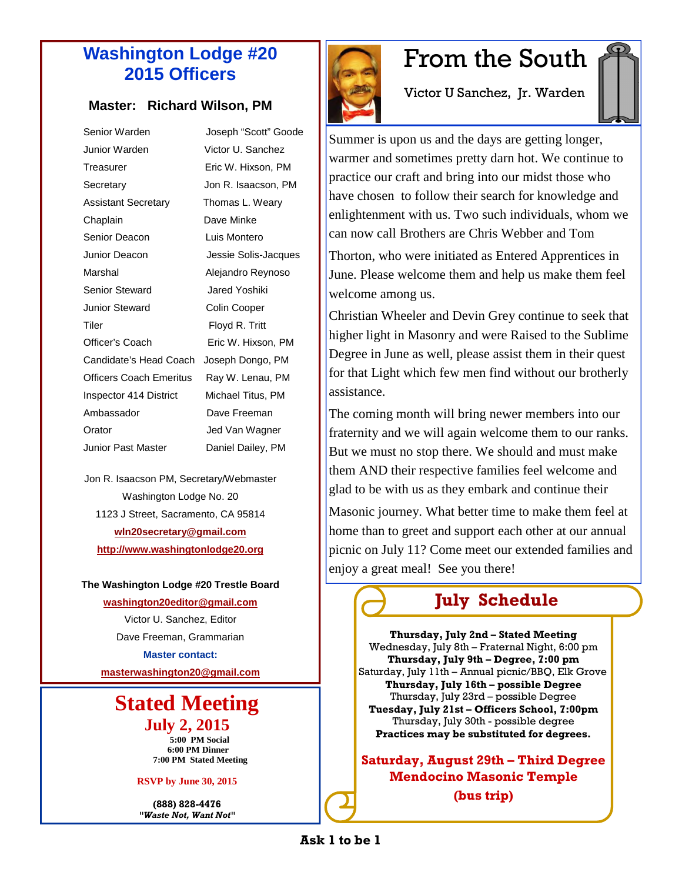#### **Washington Lodge #20 2015 Officers**

#### **Master: Richard Wilson, PM**

| Senior Warden                  | Joseph "Scott" Goode |
|--------------------------------|----------------------|
| Junior Warden.                 | Victor U. Sanchez    |
| Treasurer                      | Eric W. Hixson, PM   |
| Secretary                      | Jon R. Isaacson, PM  |
| <b>Assistant Secretary</b>     | Thomas L. Weary      |
| Chaplain                       | Dave Minke           |
| Senior Deacon                  | Luis Montero         |
| Junior Deacon                  | Jessie Solis-Jacques |
| Marshal                        | Alejandro Reynoso    |
| Senior Steward                 | Jared Yoshiki        |
| <b>Junior Steward</b>          | Colin Cooper         |
| Tiler                          | Floyd R. Tritt       |
| Officer's Coach                | Eric W. Hixson, PM   |
| Candidate's Head Coach         | Joseph Dongo, PM     |
| <b>Officers Coach Emeritus</b> | Ray W. Lenau, PM     |
| Inspector 414 District         | Michael Titus, PM    |
| Ambassador                     | Dave Freeman         |
| Orator                         | Jed Van Wagner       |
| Junior Past Master             | Daniel Dailey, PM    |
|                                |                      |

Jon R. Isaacson PM, Secretary/Webmaster Washington Lodge No. 20 1123 J Street, Sacramento, CA 95814 **wln20secretary@gmail.com http://www.washingtonlodge20.org**

**The Washington Lodge #20 Trestle Board**

**washington20editor@gmail.com**

Victor U. Sanchez, Editor Dave Freeman, Grammarian **Master contact:**

**masterwashington20@gmail.com**

#### **Stated Meeting July 2, 2015**

**5:00 PM Social 6:00 PM Dinner 7:00 PM Stated Meeting**

**RSVP by June 30, 2015**

**(888) 828-4476** *"Waste Not, Want Not"*



## From the South

Victor U Sanchez, Jr. Warden

Summer is upon us and the days are getting longer, warmer and sometimes pretty darn hot. We continue to practice our craft and bring into our midst those who have chosen to follow their search for knowledge and enlightenment with us. Two such individuals, whom we can now call Brothers are Chris Webber and Tom

Thorton, who were initiated as Entered Apprentices in June. Please welcome them and help us make them feel welcome among us.

Christian Wheeler and Devin Grey continue to seek that higher light in Masonry and were Raised to the Sublime Degree in June as well, please assist them in their quest for that Light which few men find without our brotherly assistance.

The coming month will bring newer members into our fraternity and we will again welcome them to our ranks. But we must no stop there. We should and must make them AND their respective families feel welcome and glad to be with us as they embark and continue their Masonic journey. What better time to make them feel at home than to greet and support each other at our annual picnic on July 11? Come meet our extended families and enjoy a great meal! See you there!

**July Schedule**

**Thursday, July 2nd – Stated Meeting** Wednesday, July 8th – Fraternal Night, 6:00 pm **Thursday, July 9th – Degree, 7:00 pm** Saturday, July 11th – Annual picnic/BBQ, Elk Grove **Thursday, July 16th – possible Degree** Thursday, July 23rd – possible Degree **Tuesday, July 21st – Officers School, 7:00pm** Thursday, July 30th - possible degree **Practices may be substituted for degrees.**

**Saturday, August 29th – Third Degree Mendocino Masonic Temple (bus trip)**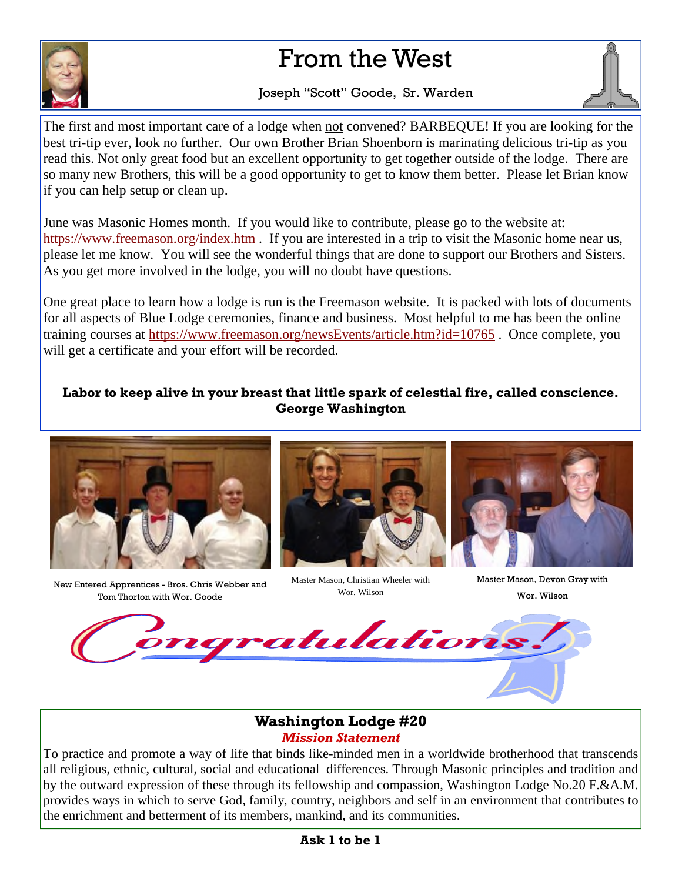## From the West



#### Joseph "Scott" Goode, Sr. Warden



The first and most important care of a lodge when not convened? BARBEQUE! If you are looking for the best tri-tip ever, look no further. Our own Brother Brian Shoenborn is marinating delicious tri-tip as you read this. Not only great food but an excellent opportunity to get together outside of the lodge. There are so many new Brothers, this will be a good opportunity to get to know them better. Please let Brian know if you can help setup or clean up.

June was Masonic Homes month. If you would like to contribute, please go to the website at: https://www.freemason.org/index.htm . If you are interested in a trip to visit the Masonic home near us, please let me know. You will see the wonderful things that are done to support our Brothers and Sisters. As you get more involved in the lodge, you will no doubt have questions.

One great place to learn how a lodge is run is the Freemason website. It is packed with lots of documents for all aspects of Blue Lodge ceremonies, finance and business. Most helpful to me has been the online training courses at https://www.freemason.org/newsEvents/article.htm?id=10765 . Once complete, you will get a certificate and your effort will be recorded.

#### **Labor to keep alive in your breast that little spark of celestial fire, called conscience. George Washington**



New Entered Apprentices - Bros. Chris Webber and Tom Thorton with Wor. Goode



Master Mason, Christian Wheeler with Wor. Wilson



Master Mason, Devon Gray with Wor. Wilson



#### **Washington Lodge #20** *Mission Statement*

To practice and promote a way of life that binds like-minded men in a worldwide brotherhood that transcends all religious, ethnic, cultural, social and educational differences. Through Masonic principles and tradition and by the outward expression of these through its fellowship and compassion, Washington Lodge No.20 F.&A.M. provides ways in which to serve God, family, country, neighbors and self in an environment that contributes to the enrichment and betterment of its members, mankind, and its communities.

#### **Ask 1 to be 1**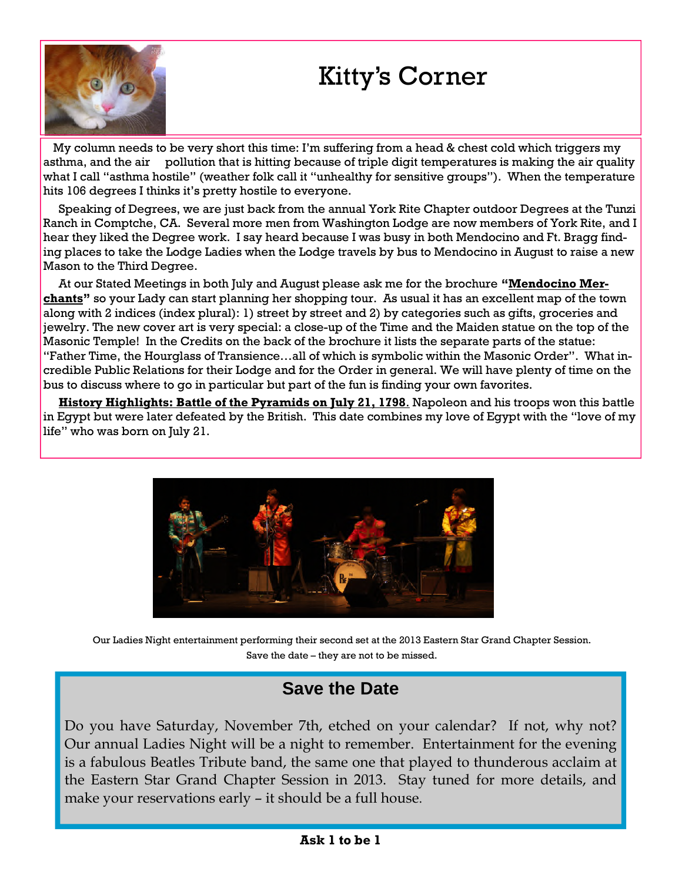

## Kitty's Corner

My column needs to be very short this time: I'm suffering from a head & chest cold which triggers my asthma, and the air pollution that is hitting because of triple digit temperatures is making the air quality what I call "asthma hostile" (weather folk call it "unhealthy for sensitive groups"). When the temperature hits 106 degrees I thinks it's pretty hostile to everyone.

Speaking of Degrees, we are just back from the annual York Rite Chapter outdoor Degrees at the Tunzi Ranch in Comptche, CA. Several more men from Washington Lodge are now members of York Rite, and I hear they liked the Degree work. I say heard because I was busy in both Mendocino and Ft. Bragg finding places to take the Lodge Ladies when the Lodge travels by bus to Mendocino in August to raise a new Mason to the Third Degree.

At our Stated Meetings in both July and August please ask me for the brochure **"Mendocino Merchants"** so your Lady can start planning her shopping tour. As usual it has an excellent map of the town along with 2 indices (index plural): 1) street by street and 2) by categories such as gifts, groceries and jewelry. The new cover art is very special: a close-up of the Time and the Maiden statue on the top of the Masonic Temple! In the Credits on the back of the brochure it lists the separate parts of the statue: "Father Time, the Hourglass of Transience…all of which is symbolic within the Masonic Order". What incredible Public Relations for their Lodge and for the Order in general. We will have plenty of time on the bus to discuss where to go in particular but part of the fun is finding your own favorites.

**History Highlights: Battle of the Pyramids on July 21, 1798**. Napoleon and his troops won this battle in Egypt but were later defeated by the British. This date combines my love of Egypt with the "love of my life" who was born on July 21.



Our Ladies Night entertainment performing their second set at the 2013 Eastern Star Grand Chapter Session. Save the date – they are not to be missed.

#### **Save the Date**

Do you have Saturday, November 7th, etched on your calendar? If not, why not? Our annual Ladies Night will be a night to remember. Entertainment for the evening is a fabulous Beatles Tribute band, the same one that played to thunderous acclaim at the Eastern Star Grand Chapter Session in 2013. Stay tuned for more details, and make your reservations early – it should be a full house.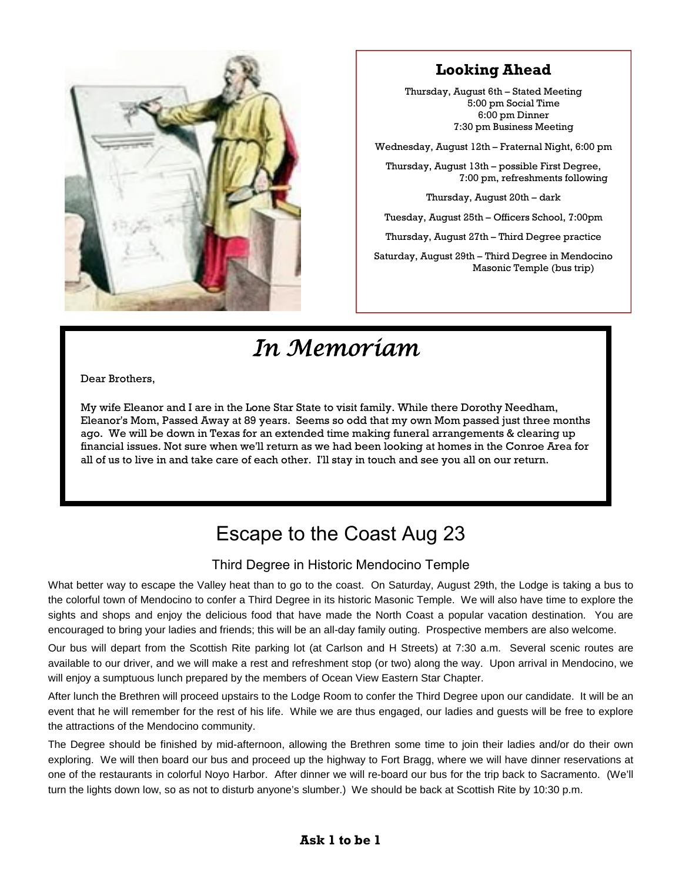

#### **Looking Ahead**

Thursday, August 6th – Stated Meeting 5:00 pm Social Time 6:00 pm Dinner 7:30 pm Business Meeting

Wednesday, August 12th – Fraternal Night, 6:00 pm

Thursday, August 13th – possible First Degree, 7:00 pm, refreshments following

Thursday, August 20th – dark

Tuesday, August 25th – Officers School, 7:00pm

Thursday, August 27th – Third Degree practice

Saturday, August 29th – Third Degree in Mendocino Masonic Temple (bus trip)

## *In Memoriam*

Dear Brothers,

My wife Eleanor and I are in the Lone Star State to visit family. While there Dorothy Needham, Eleanor's Mom, Passed Away at 89 years. Seems so odd that my own Mom passed just three months ago. We will be down in Texas for an extended time making funeral arrangements & clearing up financial issues. Not sure when we'll return as we had been looking at homes in the Conroe Area for all of us to live in and take care of each other. I'll stay in touch and see you all on our return.

### Escape to the Coast Aug 23

#### Third Degree in Historic Mendocino Temple

What better way to escape the Valley heat than to go to the coast. On Saturday, August 29th, the Lodge is taking a bus to the colorful town of Mendocino to confer a Third Degree in its historic Masonic Temple. We will also have time to explore the sights and shops and enjoy the delicious food that have made the North Coast a popular vacation destination. You are encouraged to bring your ladies and friends; this will be an all-day family outing. Prospective members are also welcome.

Our bus will depart from the Scottish Rite parking lot (at Carlson and H Streets) at 7:30 a.m. Several scenic routes are available to our driver, and we will make a rest and refreshment stop (or two) along the way. Upon arrival in Mendocino, we will enjoy a sumptuous lunch prepared by the members of Ocean View Eastern Star Chapter.

After lunch the Brethren will proceed upstairs to the Lodge Room to confer the Third Degree upon our candidate. It will be an event that he will remember for the rest of his life. While we are thus engaged, our ladies and guests will be free to explore the attractions of the Mendocino community.

The Degree should be finished by mid-afternoon, allowing the Brethren some time to join their ladies and/or do their own exploring. We will then board our bus and proceed up the highway to Fort Bragg, where we will have dinner reservations at one of the restaurants in colorful Noyo Harbor. After dinner we will re-board our bus for the trip back to Sacramento. (We'll turn the lights down low, so as not to disturb anyone's slumber.) We should be back at Scottish Rite by 10:30 p.m.

#### **Ask 1 to be 1**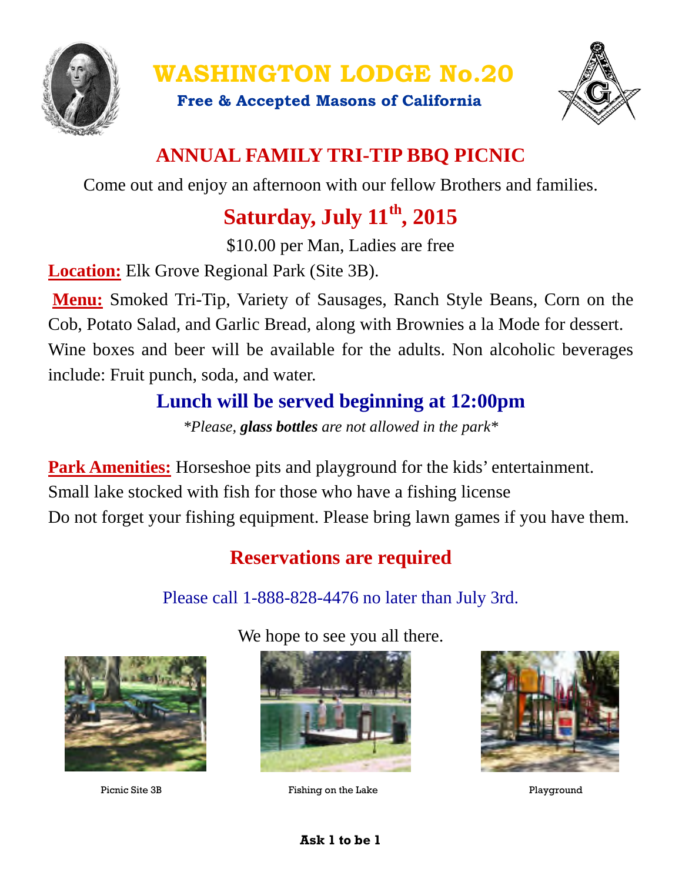

**WASHINGTON LODGE No.20**

**Free & Accepted Masons of California**



### **ANNUAL FAMILY TRI-TIP BBQ PICNIC**

Come out and enjoy an afternoon with our fellow Brothers and families.

## **Saturday, July 11th, 2015**

\$10.00 per Man, Ladies are free

**Location:** Elk Grove Regional Park (Site 3B).

**Menu:** Smoked Tri-Tip, Variety of Sausages, Ranch Style Beans, Corn on the Cob, Potato Salad, and Garlic Bread, along with Brownies a la Mode for dessert. Wine boxes and beer will be available for the adults. Non alcoholic beverages include: Fruit punch, soda, and water.

### **Lunch will be served beginning at 12:00pm**

*\*Please, glass bottles are not allowed in the park\**

**Park Amenities:** Horseshoe pits and playground for the kids' entertainment. Small lake stocked with fish for those who have a fishing license Do not forget your fishing equipment. Please bring lawn games if you have them.

## **Reservations are required**

Please call 1-888-828-4476 no later than July 3rd.



We hope to see you all there.



Picnic Site 3B Fishing on the Lake Playground



#### **Ask 1 to be 1**